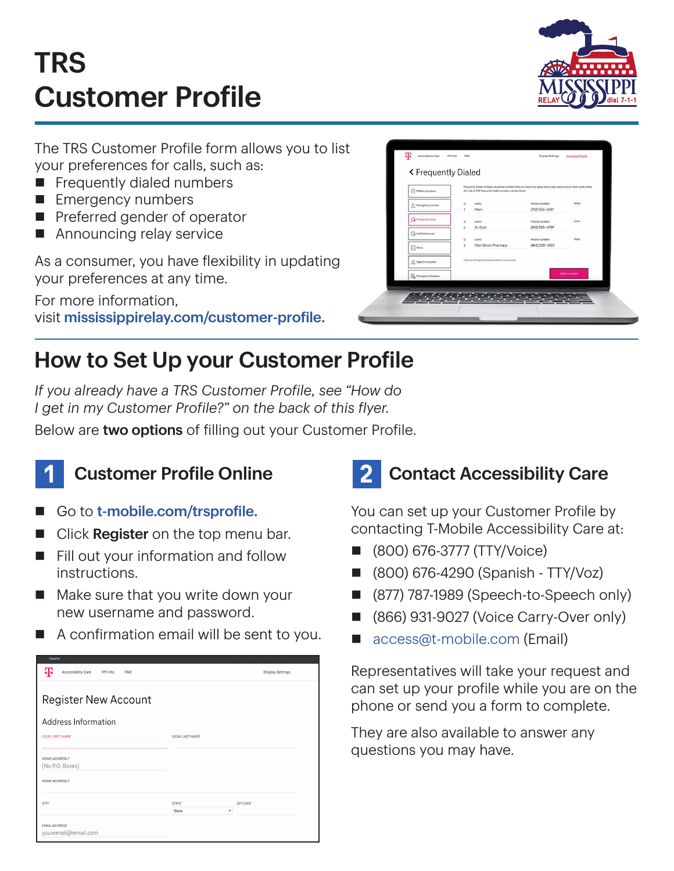# TRS Customer Profile



The TRS Customer Profile form allows you to list your preferences for calls, such as:

- $\blacksquare$  Frequently dialed numbers
- **Emergency numbers**
- $\blacksquare$  Preferred gender of operator
- $\blacksquare$  Announcing relay service

As a consumer, you have flexibility in updating your preferences at any time.

For more information, visit [mississippirelay.com/customer-profile](http://mississippirelay.com/customer-profile).

| < Frequently Dialed<br>(1) IP Relay Numbers     |                      | etc.). Up to 100 frequently dialed numbers can be stored. | Frequently dialed numbers are phone numbers that you would like speed dial or easy access to (i.e. mom, work, home, |               |
|-------------------------------------------------|----------------------|-----------------------------------------------------------|---------------------------------------------------------------------------------------------------------------------|---------------|
| △ Emergency Location                            | ID.<br>1             | NAME<br>Mom                                               | PHONE NUMBER<br>$(312)$ 555-2587                                                                                    | Delete        |
| The Frequently Dialect                          | 10<br>$\overline{2}$ | <b>NAME</b><br>Dr. Gold                                   | PHONE NUMBER<br>(410) 555-4789                                                                                      | Delete        |
| Call Preferences<br>$\boxed{\frac{1}{2}}$ Notes | 1D<br>3              | NAME<br>Main Street Pharmacy                              | PHONE NUMBER<br>(443) 555-0120                                                                                      | <b>Oelete</b> |
| Speech to Speech                                |                      | There are 3 Frequently Dialed Numbers in your profile.    |                                                                                                                     |               |
| <b>Do</b> Emergency Numbers                     |                      |                                                           |                                                                                                                     | Add number    |

## How to Set Up your Customer Profile

*If you already have a TRS Customer Profile, see "How do I get in my Customer Profile?" on the back of this flyer.*

Below are two options of filling out your Customer Profile.



### **Customer Profile Online**

- Go to [t-mobile.com/trsprofile.](http://t-mobile.com/trsprofile)
- Click Register on the top menu bar.
- $\blacksquare$  Fill out your information and follow instructions.
- $\blacksquare$  Make sure that you write down your new username and password.
- $\blacksquare$  A confirmation email will be sent to you.

| espanor                                      |                                 |
|----------------------------------------------|---------------------------------|
| ሞ<br>Accessibility Care<br>911 Info<br>FAO   | <b>Display Settings</b>         |
| <b>Register New Account</b>                  |                                 |
| Address Information                          |                                 |
| LEGAL FIRST NAME'                            | LEGAL LAST NAME'                |
| HOME ADDRESS 1"<br>(No P.O. Boxes)           |                                 |
| HOME ADDRESS 2                               |                                 |
| CITY <sup>*</sup>                            | STATE <sup>®</sup><br>ZIP CODE' |
|                                              | ٠<br>State                      |
| <b>EMAIL ADDRESS®</b><br>youremail@email.com |                                 |

## 2 Contact Accessibility Care

You can set up your Customer Profile by contacting T-Mobile Accessibility Care at:

- n (800) 676-3777 (TTY/Voice)
- n (800) 676-4290 (Spanish TTY/Voz)
- (877) 787-1989 (Speech-to-Speech only)
- (866) 931-9027 (Voice Carry-Over only)
- [access@t-mobile.com](mailto:access%40t-mobile.com?subject=) (Email)

Representatives will take your request and can set up your profile while you are on the phone or send you a form to complete.

They are also available to answer any questions you may have.